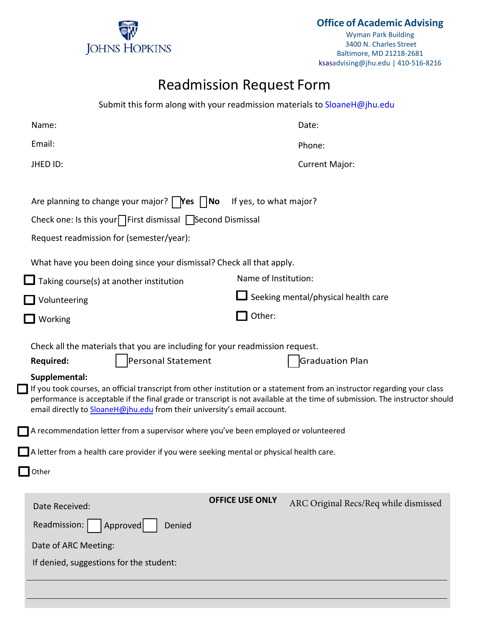

**Office of Academic Advising**

Wyman Park Building 3400 N. Charles Street Baltimore, MD 21218-2681 ksasadvising@jhu.edu | 410-516-8216

# Readmission Request Form

|                                                                                                                                                                                                                                                                                                                                                                                                                                                                                                                                                                                                                                                                                                        | Submit this form along with your readmission materials to SloaneH@jhu.edu |  |  |  |  |  |
|--------------------------------------------------------------------------------------------------------------------------------------------------------------------------------------------------------------------------------------------------------------------------------------------------------------------------------------------------------------------------------------------------------------------------------------------------------------------------------------------------------------------------------------------------------------------------------------------------------------------------------------------------------------------------------------------------------|---------------------------------------------------------------------------|--|--|--|--|--|
| Name:                                                                                                                                                                                                                                                                                                                                                                                                                                                                                                                                                                                                                                                                                                  | Date:                                                                     |  |  |  |  |  |
| Email:                                                                                                                                                                                                                                                                                                                                                                                                                                                                                                                                                                                                                                                                                                 | Phone:                                                                    |  |  |  |  |  |
| JHED ID:                                                                                                                                                                                                                                                                                                                                                                                                                                                                                                                                                                                                                                                                                               | <b>Current Major:</b>                                                     |  |  |  |  |  |
| Are planning to change your major? $\mid$ <b>Yes</b> $\mid$ <b>No</b><br>Check one: Is this your $\Box$ First dismissal $\Box$ Second Dismissal<br>Request readmission for (semester/year):                                                                                                                                                                                                                                                                                                                                                                                                                                                                                                            | If yes, to what major?                                                    |  |  |  |  |  |
| What have you been doing since your dismissal? Check all that apply.                                                                                                                                                                                                                                                                                                                                                                                                                                                                                                                                                                                                                                   |                                                                           |  |  |  |  |  |
| $\Box$ Taking course(s) at another institution                                                                                                                                                                                                                                                                                                                                                                                                                                                                                                                                                                                                                                                         | Name of Institution:                                                      |  |  |  |  |  |
| Volunteering                                                                                                                                                                                                                                                                                                                                                                                                                                                                                                                                                                                                                                                                                           | Seeking mental/physical health care                                       |  |  |  |  |  |
| Working                                                                                                                                                                                                                                                                                                                                                                                                                                                                                                                                                                                                                                                                                                | Other:                                                                    |  |  |  |  |  |
| Check all the materials that you are including for your readmission request.<br>Personal Statement<br><b>Graduation Plan</b><br><b>Required:</b><br>Supplemental:<br>If you took courses, an official transcript from other institution or a statement from an instructor regarding your class<br>performance is acceptable if the final grade or transcript is not available at the time of submission. The instructor should<br>email directly to SloaneH@jhu.edu from their university's email account.<br>A recommendation letter from a supervisor where you've been employed or volunteered<br>A letter from a health care provider if you were seeking mental or physical health care.<br>Other |                                                                           |  |  |  |  |  |
| Date Received:<br>Readmission:<br>Approved<br>Denied<br>Date of ARC Meeting:<br>If denied, suggestions for the student:                                                                                                                                                                                                                                                                                                                                                                                                                                                                                                                                                                                | <b>OFFICE USE ONLY</b><br>ARC Original Recs/Req while dismissed           |  |  |  |  |  |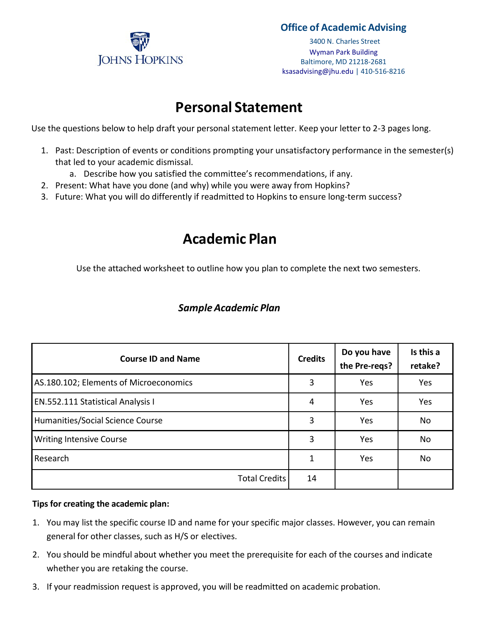

#### **Office of Academic Advising**

3400 N. Charles Street Wyman Park Building Baltimore, MD 21218-2681 ksas[advising@jhu](mailto:advising@jhu.edu).edu | 410-516-8216

### **Personal Statement**

Use the questions below to help draft your personal statement letter. Keep your letter to 2-3 pages long.

- 1. Past: Description of events or conditions prompting your unsatisfactory performance in the semester(s) that led to your academic dismissal.
	- a. Describe how you satisfied the committee's recommendations, if any.
- 2. Present: What have you done (and why) while you were away from Hopkins?
- 3. Future: What you will do differently if readmitted to Hopkins to ensure long-term success?

## **Academic Plan**

Use the attached worksheet to outline how you plan to complete the next two semesters.

| <b>Course ID and Name</b>              |    | Do you have<br>the Pre-reqs? | Is this a<br>retake? |
|----------------------------------------|----|------------------------------|----------------------|
| AS.180.102; Elements of Microeconomics | 3  | Yes                          | Yes                  |
| EN.552.111 Statistical Analysis I      | 4  | Yes                          | Yes                  |
| Humanities/Social Science Course       | 3  | Yes                          | No                   |
| <b>Writing Intensive Course</b>        | 3  | Yes                          | No                   |
| Research                               | 1  | Yes                          | No                   |
| <b>Total Credits</b>                   | 14 |                              |                      |

### *SampleAcademic Plan*

#### **Tips for creating the academic plan:**

- 1. You may list the specific course ID and name for your specific major classes. However, you can remain general for other classes, such as H/S or electives.
- 2. You should be mindful about whether you meet the prerequisite for each of the courses and indicate whether you are retaking the course.
- 3. If your readmission request is approved, you will be readmitted on academic probation.